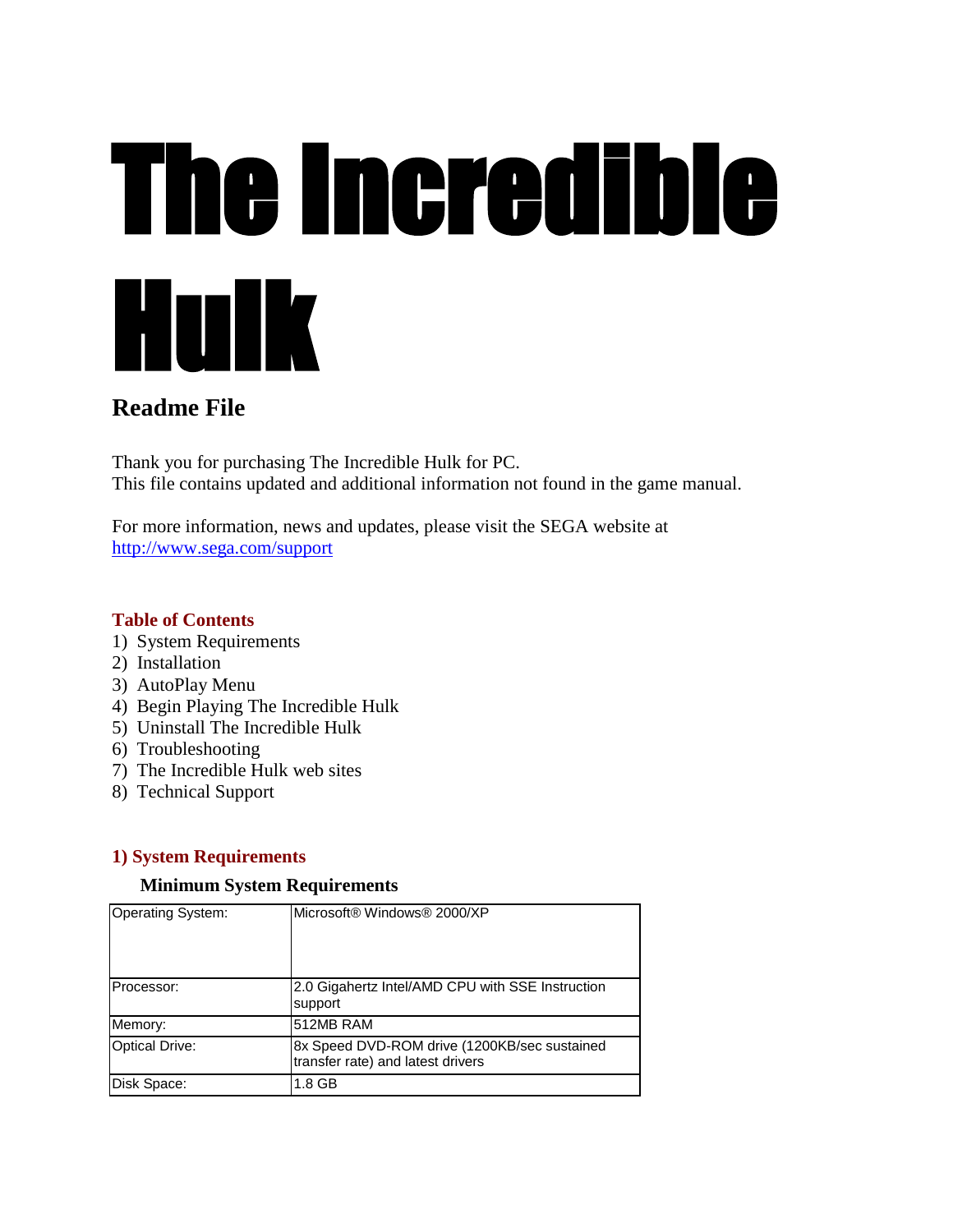# The Incredible Hulk

# **Readme File**

Thank you for purchasing The Incredible Hulk for PC. This file contains updated and additional information not found in the game manual.

For more information, news and updates, please visit the SEGA website at <http://www.sega.com/support>

#### **Table of Contents**

- 1) System Requirements
- 2) Installation
- 3) AutoPlay Menu
- 4) Begin Playing The Incredible Hulk
- 5) Uninstall The Incredible Hulk
- 6) Troubleshooting
- 7) The Incredible Hulk web sites
- 8) Technical Support

# **1) System Requirements**

#### **Minimum System Requirements**

| <b>Operating System:</b> | Microsoft® Windows® 2000/XP                                                       |
|--------------------------|-----------------------------------------------------------------------------------|
| Processor:               | 2.0 Gigahertz Intel/AMD CPU with SSE Instruction<br>support                       |
| Memory:                  | 512MB RAM                                                                         |
| <b>Optical Drive:</b>    | 8x Speed DVD-ROM drive (1200KB/sec sustained<br>transfer rate) and latest drivers |
| Disk Space:              | 1.8 GB                                                                            |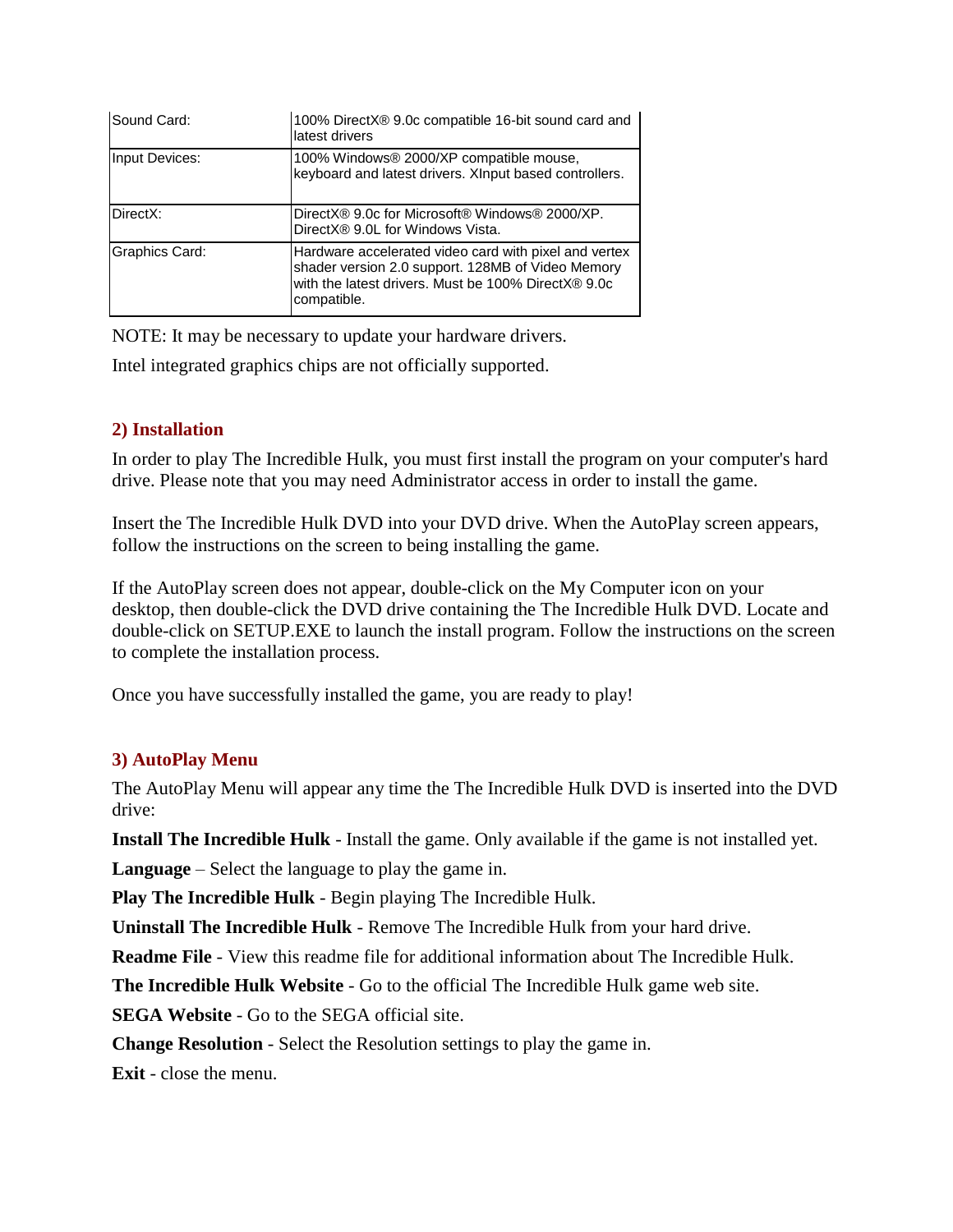| Sound Card:    | 100% DirectX® 9.0c compatible 16-bit sound card and<br>latest drivers                                                                                                            |
|----------------|----------------------------------------------------------------------------------------------------------------------------------------------------------------------------------|
| Input Devices: | 100% Windows® 2000/XP compatible mouse,<br>keyboard and latest drivers. Xinput based controllers.                                                                                |
| DirectX:       | DirectX® 9.0c for Microsoft® Windows® 2000/XP.<br>DirectX® 9.0L for Windows Vista.                                                                                               |
| Graphics Card: | Hardware accelerated video card with pixel and vertex<br>shader version 2.0 support. 128MB of Video Memory<br>with the latest drivers. Must be 100% DirectX® 9.0c<br>compatible. |

NOTE: It may be necessary to update your hardware drivers.

Intel integrated graphics chips are not officially supported.

## **2) Installation**

In order to play The Incredible Hulk, you must first install the program on your computer's hard drive. Please note that you may need Administrator access in order to install the game.

Insert the The Incredible Hulk DVD into your DVD drive. When the AutoPlay screen appears, follow the instructions on the screen to being installing the game.

If the AutoPlay screen does not appear, double-click on the My Computer icon on your desktop, then double-click the DVD drive containing the The Incredible Hulk DVD. Locate and double-click on SETUP.EXE to launch the install program. Follow the instructions on the screen to complete the installation process.

Once you have successfully installed the game, you are ready to play!

# **3) AutoPlay Menu**

The AutoPlay Menu will appear any time the The Incredible Hulk DVD is inserted into the DVD drive:

**Install The Incredible Hulk** - Install the game. Only available if the game is not installed yet.

**Language** – Select the language to play the game in.

**Play The Incredible Hulk** - Begin playing The Incredible Hulk.

**Uninstall The Incredible Hulk** - Remove The Incredible Hulk from your hard drive.

**Readme File** - View this readme file for additional information about The Incredible Hulk.

**The Incredible Hulk Website** - Go to the official The Incredible Hulk game web site.

**SEGA Website** - Go to the SEGA official site.

**Change Resolution** - Select the Resolution settings to play the game in.

**Exit** - close the menu.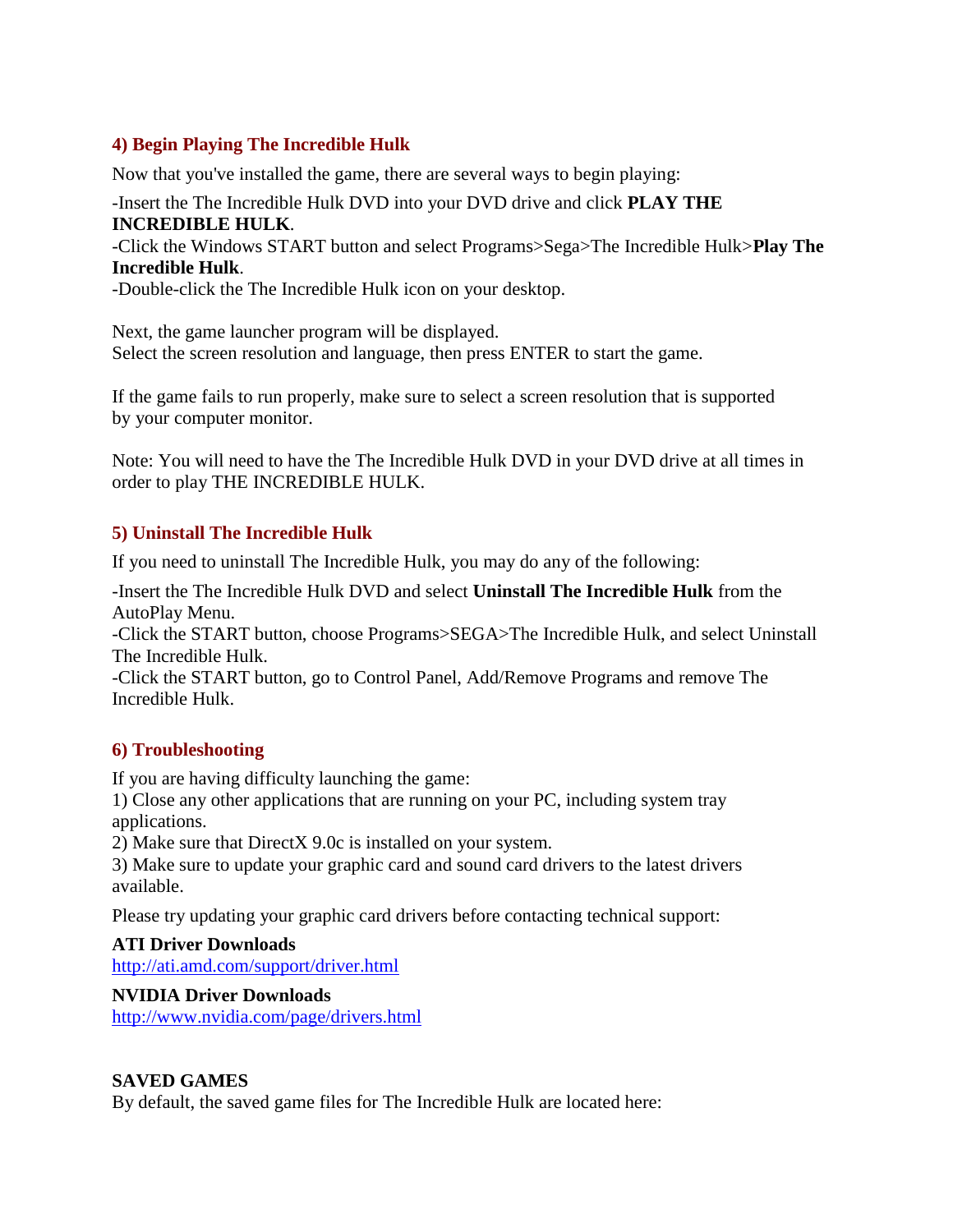## **4) Begin Playing The Incredible Hulk**

Now that you've installed the game, there are several ways to begin playing:

#### -Insert the The Incredible Hulk DVD into your DVD drive and click **PLAY THE INCREDIBLE HULK**.

-Click the Windows START button and select Programs>Sega>The Incredible Hulk>**Play The Incredible Hulk**.

-Double-click the The Incredible Hulk icon on your desktop.

Next, the game launcher program will be displayed. Select the screen resolution and language, then press ENTER to start the game.

If the game fails to run properly, make sure to select a screen resolution that is supported by your computer monitor.

Note: You will need to have the The Incredible Hulk DVD in your DVD drive at all times in order to play THE INCREDIBLE HULK.

#### **5) Uninstall The Incredible Hulk**

If you need to uninstall The Incredible Hulk, you may do any of the following:

-Insert the The Incredible Hulk DVD and select **Uninstall The Incredible Hulk** from the AutoPlay Menu.

-Click the START button, choose Programs>SEGA>The Incredible Hulk, and select Uninstall The Incredible Hulk.

-Click the START button, go to Control Panel, Add/Remove Programs and remove The Incredible Hulk.

#### **6) Troubleshooting**

If you are having difficulty launching the game:

1) Close any other applications that are running on your PC, including system tray applications.

2) Make sure that DirectX 9.0c is installed on your system.

3) Make sure to update your graphic card and sound card drivers to the latest drivers available.

Please try updating your graphic card drivers before contacting technical support:

#### **ATI Driver Downloads**

<http://ati.amd.com/support/driver.html>

#### **NVIDIA Driver Downloads**

<http://www.nvidia.com/page/drivers.html>

#### **SAVED GAMES**

By default, the saved game files for The Incredible Hulk are located here: